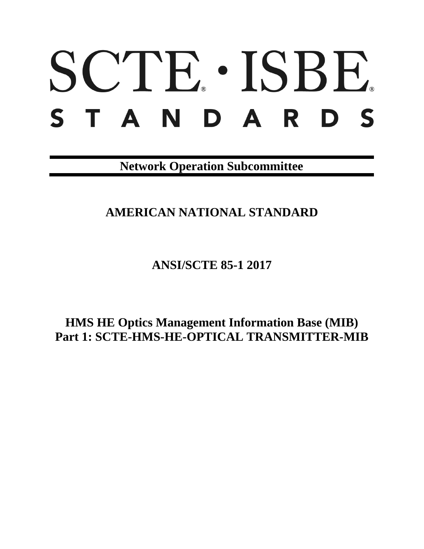# SCTE. ISBE. S T A N D A R D S

**Network Operation Subcommittee**

**AMERICAN NATIONAL STANDARD**

**ANSI/SCTE 85-1 2017**

**HMS HE Optics Management Information Base (MIB) Part 1: SCTE-HMS-HE-OPTICAL TRANSMITTER-MIB**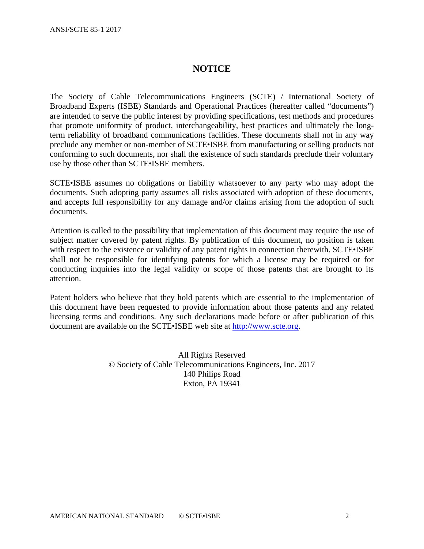# **NOTICE**

The Society of Cable Telecommunications Engineers (SCTE) / International Society of Broadband Experts (ISBE) Standards and Operational Practices (hereafter called "documents") are intended to serve the public interest by providing specifications, test methods and procedures that promote uniformity of product, interchangeability, best practices and ultimately the longterm reliability of broadband communications facilities. These documents shall not in any way preclude any member or non-member of SCTE•ISBE from manufacturing or selling products not conforming to such documents, nor shall the existence of such standards preclude their voluntary use by those other than SCTE•ISBE members.

SCTE•ISBE assumes no obligations or liability whatsoever to any party who may adopt the documents. Such adopting party assumes all risks associated with adoption of these documents, and accepts full responsibility for any damage and/or claims arising from the adoption of such documents.

Attention is called to the possibility that implementation of this document may require the use of subject matter covered by patent rights. By publication of this document, no position is taken with respect to the existence or validity of any patent rights in connection therewith. SCTE•ISBE shall not be responsible for identifying patents for which a license may be required or for conducting inquiries into the legal validity or scope of those patents that are brought to its attention.

Patent holders who believe that they hold patents which are essential to the implementation of this document have been requested to provide information about those patents and any related licensing terms and conditions. Any such declarations made before or after publication of this document are available on the SCTE•ISBE web site at [http://www.scte.org.](http://www.scte.org/)

> All Rights Reserved © Society of Cable Telecommunications Engineers, Inc. 2017 140 Philips Road Exton, PA 19341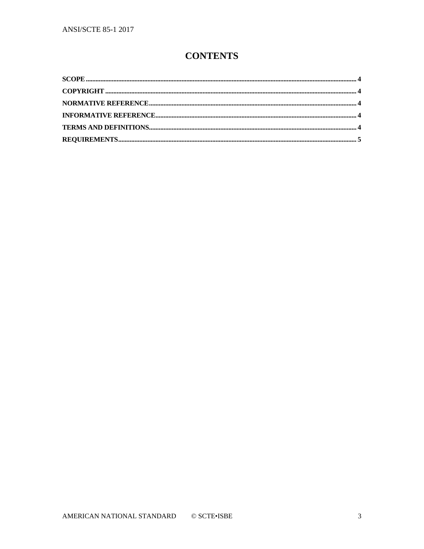# **CONTENTS**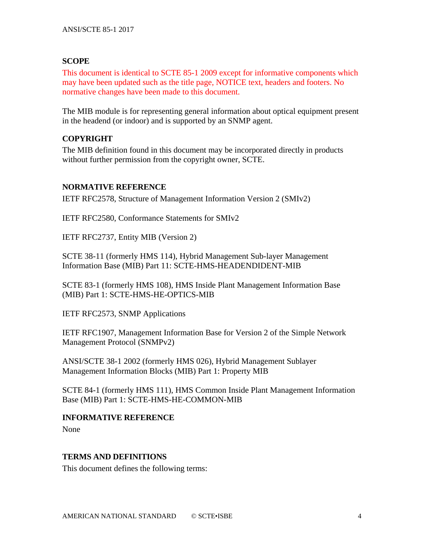# <span id="page-3-0"></span>**SCOPE**

This document is identical to SCTE 85-1 2009 except for informative components which may have been updated such as the title page, NOTICE text, headers and footers. No normative changes have been made to this document.

The MIB module is for representing general information about optical equipment present in the headend (or indoor) and is supported by an SNMP agent.

# <span id="page-3-1"></span>**COPYRIGHT**

The MIB definition found in this document may be incorporated directly in products without further permission from the copyright owner, SCTE.

# <span id="page-3-2"></span>**NORMATIVE REFERENCE**

IETF RFC2578, Structure of Management Information Version 2 (SMIv2)

IETF RFC2580, Conformance Statements for SMIv2

IETF RFC2737, Entity MIB (Version 2)

SCTE 38-11 (formerly HMS 114), Hybrid Management Sub-layer Management Information Base (MIB) Part 11: SCTE-HMS-HEADENDIDENT-MIB

SCTE 83-1 (formerly HMS 108), HMS Inside Plant Management Information Base (MIB) Part 1: SCTE-HMS-HE-OPTICS-MIB

IETF RFC2573, SNMP Applications

IETF RFC1907, Management Information Base for Version 2 of the Simple Network Management Protocol (SNMPv2)

ANSI/SCTE 38-1 2002 (formerly HMS 026), Hybrid Management Sublayer Management Information Blocks (MIB) Part 1: Property MIB

SCTE 84-1 (formerly HMS 111), HMS Common Inside Plant Management Information Base (MIB) Part 1: SCTE-HMS-HE-COMMON-MIB

# <span id="page-3-3"></span>**INFORMATIVE REFERENCE**

None

# <span id="page-3-4"></span>**TERMS AND DEFINITIONS**

This document defines the following terms: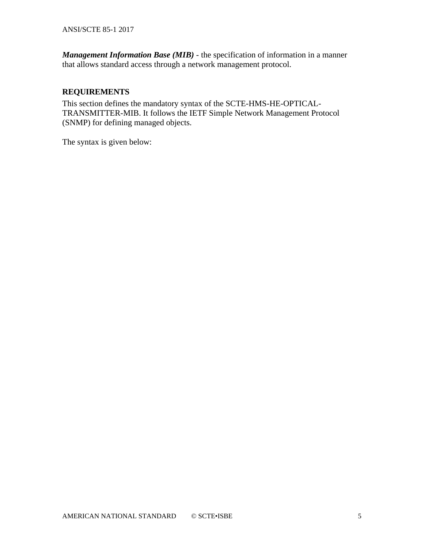*Management Information Base (MIB)* - the specification of information in a manner that allows standard access through a network management protocol.

# <span id="page-4-0"></span>**REQUIREMENTS**

This section defines the mandatory syntax of the SCTE-HMS-HE-OPTICAL-TRANSMITTER-MIB. It follows the IETF Simple Network Management Protocol (SNMP) for defining managed objects.

The syntax is given below: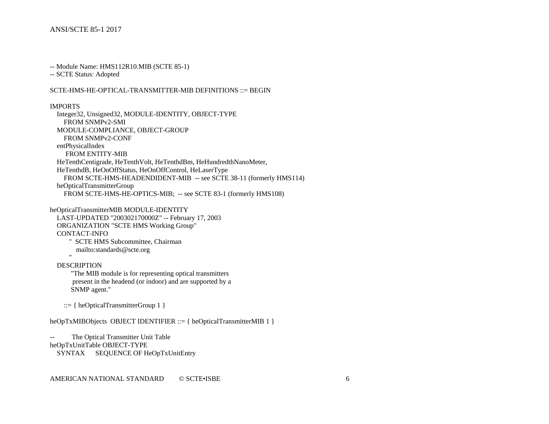-- Module Name: HMS112R10.MIB (SCTE 85-1)

-- SCTE Status: Adopted

### SCTE-HMS-HE-OPTICAL-TRANSMITTER-MIB DEFINITIONS ::= BEGIN

### IMPORTS

 Integer32, Unsigned32, MODULE-IDENTITY, OBJECT-TYPE FROM SNMPv2-SMI MODULE-COMPLIANCE, OBJECT-GROUP FROM SNMPv2-CONF entPhysicalIndex FROM ENTITY-MIB HeTenthCentigrade, HeTenthVolt, HeTenthdBm, HeHundredthNanoMeter, HeTenthdB, HeOnOffStatus, HeOnOffControl, HeLaserType FROM SCTE-HMS-HEADENDIDENT-MIB -- see SCTE 38-11 (formerly HMS114) heOpticalTransmitterGroup FROM SCTE-HMS-HE-OPTICS-MIB; -- see SCTE 83-1 (formerly HMS108)

heOpticalTransmitterMIB MODULE-IDENTITY LAST-UPDATED "200302170000Z" -- February 17, 2003 ORGANIZATION "SCTE HMS Working Group" CONTACT-INFO " SCTE HMS Subcommittee, Chairman mailto:standards@scte.org "

### DESCRIPTION

 "The MIB module is for representing optical transmitters present in the headend (or indoor) and are supported by a SNMP agent."

::= { heOpticalTransmitterGroup 1 }

heOpTxMIBObjects OBJECT IDENTIFIER ::= { heOpticalTransmitterMIB 1 }

The Optical Transmitter Unit Table heOpTxUnitTable OBJECT-TYPE SYNTAX SEQUENCE OF HeOpTxUnitEntry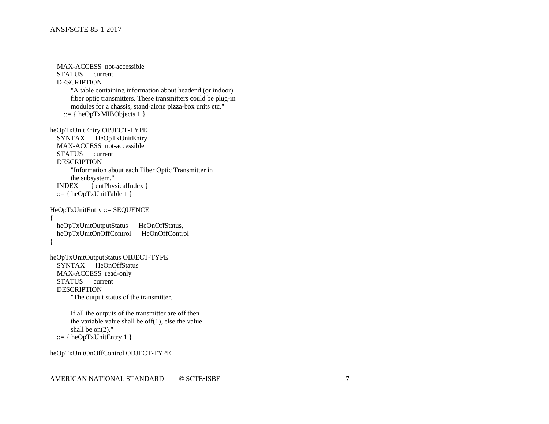```
 MAX-ACCESS not-accessible
   STATUS current
   DESCRIPTION
        "A table containing information about headend (or indoor)
       fiber optic transmitters. These transmitters could be plug-in
       modules for a chassis, stand-alone pizza-box units etc."
    ::= \{ \text{heOpTxMIBObjects} 1 \}heOpTxUnitEntry OBJECT-TYPE
   SYNTAX HeOpTxUnitEntry
   MAX-ACCESS not-accessible
   STATUS current
   DESCRIPTION
        "Information about each Fiber Optic Transmitter in 
       the subsystem."
   INDEX { entPhysicalIndex }
  ::= { heOpTxUnitTable 1 }
HeOpTxUnitEntry ::= SEQUENCE
{
  heOpTxUnitOutputStatus HeOnOffStatus,
   heOpTxUnitOnOffControl HeOnOffControl
}
heOpTxUnitOutputStatus OBJECT-TYPE
   SYNTAX HeOnOffStatus
   MAX-ACCESS read-only
   STATUS current
   DESCRIPTION
        "The output status of the transmitter. 
       If all the outputs of the transmitter are off then
       the variable value shall be off(1), else the value
      shall be on(2)."
  ::= { heOpTxUnitEntry 1 }
heOpTxUnitOnOffControl OBJECT-TYPE
```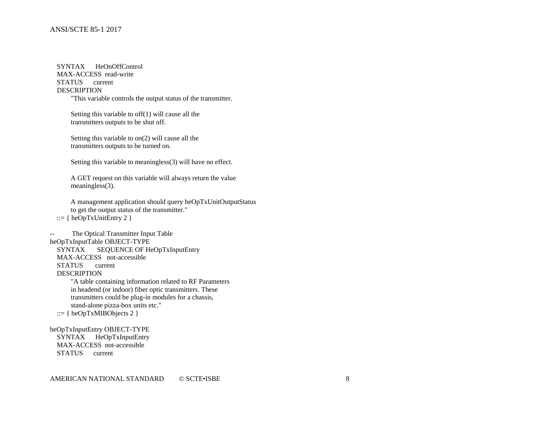SYNTAX HeOnOffControl MAX-ACCESS read-write STATUS current DESCRIPTION "This variable controls the output status of the transmitter.

Setting this variable to off(1) will cause all the

transmitters outputs to be shut off.

 Setting this variable to on(2) will cause all the transmitters outputs to be turned on.

Setting this variable to meaningless(3) will have no effect.

 A GET request on this variable will always return the value meaningless(3).

 A management application should query heOpTxUnitOutputStatus to get the output status of the transmitter." ::=  $\{heOpTxUnitEntry 2\}$ 

The Optical Transmitter Input Table heOpTxInputTable OBJECT-TYPE SYNTAX SEQUENCE OF HeOpTxInputEntry MAX-ACCESS not-accessible STATUS current DESCRIPTION

 "A table containing information related to RF Parameters in headend (or indoor) fiber optic transmitters. These transmitters could be plug-in modules for a chassis, stand-alone pizza-box units etc."

::=  $\{heOpTxMIBObjects 2\}$ 

heOpTxInputEntry OBJECT-TYPE SYNTAX HeOpTxInputEntry MAX-ACCESS not-accessible STATUS current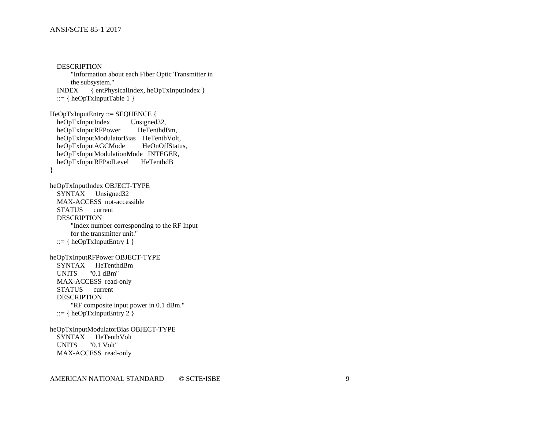**DESCRIPTION**  "Information about each Fiber Optic Transmitter in the subsystem." INDEX { entPhysicalIndex, heOpTxInputIndex } ::= { heOpTxInputTable  $1$  } HeOpTxInputEntry ::= SEQUENCE { heOpTxInputIndex Unsigned32, heOpTxInputRFPower HeTenthdBm, heOpTxInputModulatorBias HeTenthVolt, heOpTxInputAGCMode HeOnOffStatus, heOpTxInputModulationMode INTEGER, heOpTxInputRFPadLevel HeTenthdB } heOpTxInputIndex OBJECT-TYPE SYNTAX Unsigned32 MAX-ACCESS not-accessible STATUS current DESCRIPTION "Index number corresponding to the RF Input for the transmitter unit." ::=  $\{heOpTxInputEntry 1\}$ heOpTxInputRFPower OBJECT-TYPE SYNTAX HeTenthdBm UNITS "0.1 dBm" MAX-ACCESS read-only STATUS current DESCRIPTION "RF composite input power in 0.1 dBm." ::=  $\{heOpTxInputEntry 2\}$ heOpTxInputModulatorBias OBJECT-TYPE SYNTAX HeTenthVolt UNITS "0.1 Volt" MAX-ACCESS read-only

AMERICAN NATIONAL STANDARD © SCTE•ISBE 9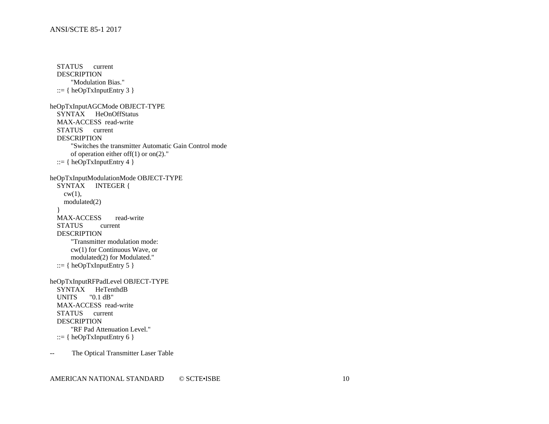STATUS current DESCRIPTION "Modulation Bias." ::=  $\{heOpTxInputEntry 3\}$ heOpTxInputAGCMode OBJECT-TYPE SYNTAX HeOnOffStatus MAX-ACCESS read-write STATUS current DESCRIPTION "Switches the transmitter Automatic Gain Control mode of operation either off(1) or on(2)." ::= { heOpTxInputEntry 4 } heOpTxInputModulationMode OBJECT-TYPE SYNTAX INTEGER {  $cw(1)$ , modulated(2) } MAX-ACCESS read-write STATUS current **DESCRIPTION**  "Transmitter modulation mode: cw(1) for Continuous Wave, or modulated(2) for Modulated." ::=  $\{heOpTxInputEntry 5\}$ heOpTxInputRFPadLevel OBJECT-TYPE SYNTAX HeTenthdB UNITS "0.1 dB" MAX-ACCESS read-write STATUS current DESCRIPTION "RF Pad Attenuation Level." ::=  $\{heOpTxInputEntry 6\}$ -- The Optical Transmitter Laser Table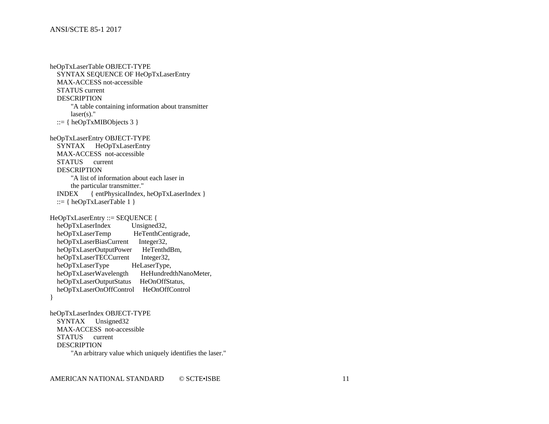heOpTxLaserTable OBJECT-TYPE SYNTAX SEQUENCE OF HeOpTxLaserEntry MAX-ACCESS not-accessible STATUS current DESCRIPTION "A table containing information about transmitter laser(s)." ::=  $\{heOpTxMIBObjects 3\}$ heOpTxLaserEntry OBJECT-TYPE SYNTAX HeOpTxLaserEntry MAX-ACCESS not-accessible STATUS current DESCRIPTION "A list of information about each laser in the particular transmitter." INDEX { entPhysicalIndex, heOpTxLaserIndex } ::= { heOpTxLaserTable  $1$  } HeOpTxLaserEntry ::= SEQUENCE { heOpTxLaserIndex Unsigned32,<br>heOpTxLaserTemp HeTenthCen HeTenthCentigrade, heOpTxLaserBiasCurrent Integer32,<br>heOpTxLaserOutputPower HeTenthdBm, heOpTxLaserOutputPower HeTenthdl<br>heOpTxLaserTECCurrent Integer32, heOpTxLaserTECCurrent Integer32,<br>heOpTxLaserType HeLaserType, heOpTxLaserType HeLaserType,<br>heOpTxLaserWavelength HeHundredthNanoMeter, heOpTxLaserWavelength heOpTxLaserOutputStatus HeOnOffStatus, heOpTxLaserOnOffControl HeOnOffControl } heOpTxLaserIndex OBJECT-TYPE SYNTAX Unsigned32 MAX-ACCESS not-accessible

DESCRIPTION

STATUS current

"An arbitrary value which uniquely identifies the laser."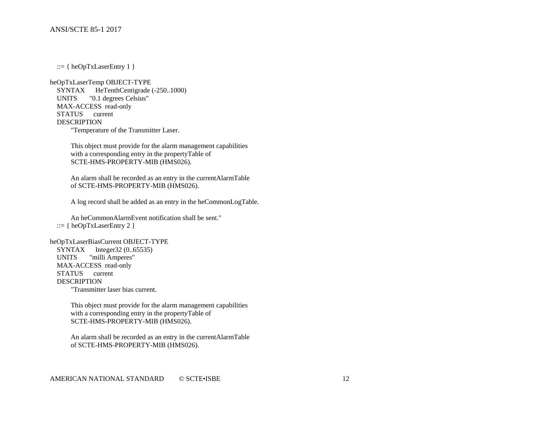::=  $\{heOpTxLaserEntry 1\}$ 

heOpTxLaserTemp OBJECT-TYPE SYNTAX HeTenthCentigrade (-250..1000) UNITS "0.1 degrees Celsius" MAX-ACCESS read-only STATUS current DESCRIPTION "Temperature of the Transmitter Laser.

> This object must provide for the alarm management capabilities with a corresponding entry in the propertyTable of SCTE-HMS-PROPERTY-MIB (HMS026).

 An alarm shall be recorded as an entry in the currentAlarmTable of SCTE-HMS-PROPERTY-MIB (HMS026).

A log record shall be added as an entry in the heCommonLogTable.

 An heCommonAlarmEvent notification shall be sent." ::=  $\{ \text{heOpTxLaserEntry 2 } \}$ 

heOpTxLaserBiasCurrent OBJECT-TYPE SYNTAX Integer32 (0..65535) UNITS "milli Amperes" MAX-ACCESS read-only STATUS current DESCRIPTION "Transmitter laser bias current.

> This object must provide for the alarm management capabilities with a corresponding entry in the propertyTable of SCTE-HMS-PROPERTY-MIB (HMS026).

 An alarm shall be recorded as an entry in the currentAlarmTable of SCTE-HMS-PROPERTY-MIB (HMS026).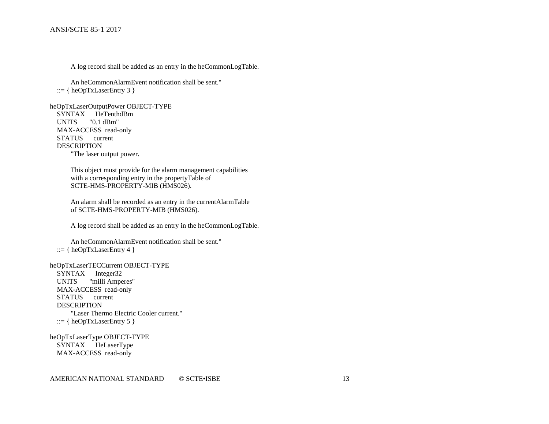A log record shall be added as an entry in the heCommonLogTable.

 An heCommonAlarmEvent notification shall be sent."  $::= \{ \text{heOpTxLaserEntry } 3 \}$ 

heOpTxLaserOutputPower OBJECT-TYPE SYNTAX HeTenthdBm UNITS "0.1 dBm" MAX-ACCESS read-only STATUS current DESCRIPTION "The laser output power.

> This object must provide for the alarm management capabilities with a corresponding entry in the propertyTable of SCTE-HMS-PROPERTY-MIB (HMS026).

 An alarm shall be recorded as an entry in the currentAlarmTable of SCTE-HMS-PROPERTY-MIB (HMS026).

A log record shall be added as an entry in the heCommonLogTable.

 An heCommonAlarmEvent notification shall be sent." ::= { heOpTxLaserEntry 4 }

heOpTxLaserTECCurrent OBJECT-TYPE

 SYNTAX Integer32 UNITS "milli Amperes" MAX-ACCESS read-only STATUS current DESCRIPTION "Laser Thermo Electric Cooler current." ::=  $\{heOpTxLaserEntry 5\}$ 

heOpTxLaserType OBJECT-TYPE SYNTAX HeLaserType MAX-ACCESS read-only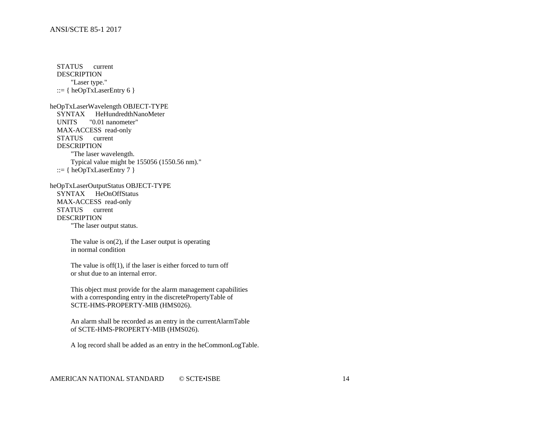STATUS current DESCRIPTION "Laser type." ::= {  $heOpTxLaserEntry 6$  } heOpTxLaserWavelength OBJECT-TYPE SYNTAX HeHundredthNanoMeter UNITS "0.01 nanometer" MAX-ACCESS read-only STATUS current DESCRIPTION "The laser wavelength. Typical value might be 155056 (1550.56 nm)." ::=  $\{ \text{heOpTxLaserEntry 7 } \}$ heOpTxLaserOutputStatus OBJECT-TYPE SYNTAX HeOnOffStatus MAX-ACCESS read-only STATUS current DESCRIPTION "The laser output status. The value is on(2), if the Laser output is operating in normal condition The value is off(1), if the laser is either forced to turn off or shut due to an internal error. This object must provide for the alarm management capabilities with a corresponding entry in the discretePropertyTable of SCTE-HMS-PROPERTY-MIB (HMS026). An alarm shall be recorded as an entry in the currentAlarmTable of SCTE-HMS-PROPERTY-MIB (HMS026). A log record shall be added as an entry in the heCommonLogTable.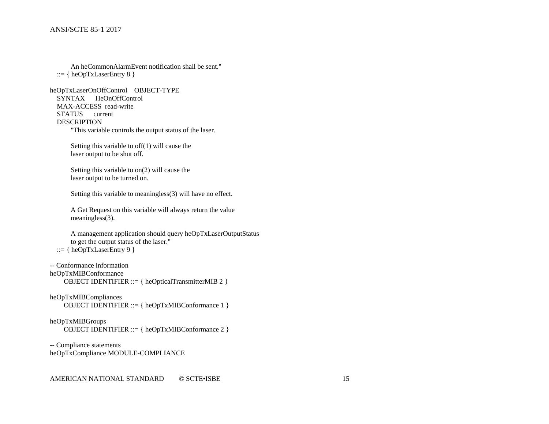```
 An heCommonAlarmEvent notification shall be sent."
::= \{heOpTxLaserEntry 8\}
```

```
heOpTxLaserOnOffControl OBJECT-TYPE
   SYNTAX HeOnOffControl
   MAX-ACCESS read-write
   STATUS current
   DESCRIPTION
       "This variable controls the output status of the laser.
```
 Setting this variable to off(1) will cause the laser output to be shut off.

 Setting this variable to on(2) will cause the laser output to be turned on.

Setting this variable to meaningless(3) will have no effect.

 A Get Request on this variable will always return the value meaningless(3).

```
 A management application should query heOpTxLaserOutputStatus
     to get the output status of the laser."
::= \{ \text{heOpTxLaserEntry } 9 \}
```

```
-- Conformance information
```
heOpTxMIBConformance OBJECT IDENTIFIER ::= { heOpticalTransmitterMIB 2 }

```
heOpTxMIBCompliances
    OBJECT IDENTIFIER ::= { heOpTxMIBConformance 1 }
```

```
heOpTxMIBGroups 
     OBJECT IDENTIFIER ::= { heOpTxMIBConformance 2 }
```

```
-- Compliance statements
heOpTxCompliance MODULE-COMPLIANCE
```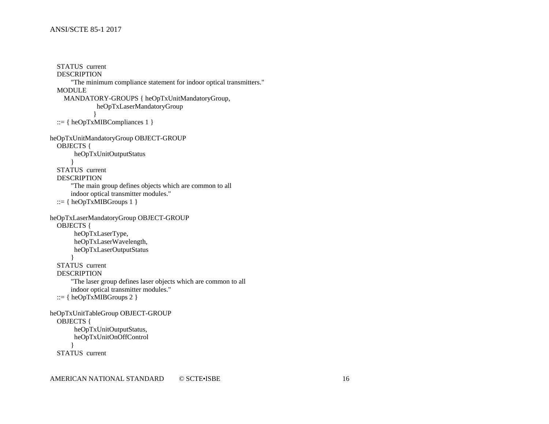```
 STATUS current
   DESCRIPTION
       "The minimum compliance statement for indoor optical transmitters."
   MODULE
     MANDATORY-GROUPS { heOpTxUnitMandatoryGroup,
               heOpTxLaserMandatoryGroup
 }
  ::= \{heOpTxMIBCompliances 1\}heOpTxUnitMandatoryGroup OBJECT-GROUP
   OBJECTS {
        heOpTxUnitOutputStatus
       }
   STATUS current
   DESCRIPTION
       "The main group defines objects which are common to all
       indoor optical transmitter modules."
  ::= \{heOpTxMIBGroups 1\}heOpTxLaserMandatoryGroup OBJECT-GROUP
   OBJECTS {
        heOpTxLaserType,
        heOpTxLaserWavelength,
        heOpTxLaserOutputStatus
 }
   STATUS current
   DESCRIPTION
       "The laser group defines laser objects which are common to all
       indoor optical transmitter modules."
  ::= \{ \text{heOpTxMIBGroups 2 } \}heOpTxUnitTableGroup OBJECT-GROUP
   OBJECTS {
        heOpTxUnitOutputStatus,
        heOpTxUnitOnOffControl 
 }
   STATUS current
```